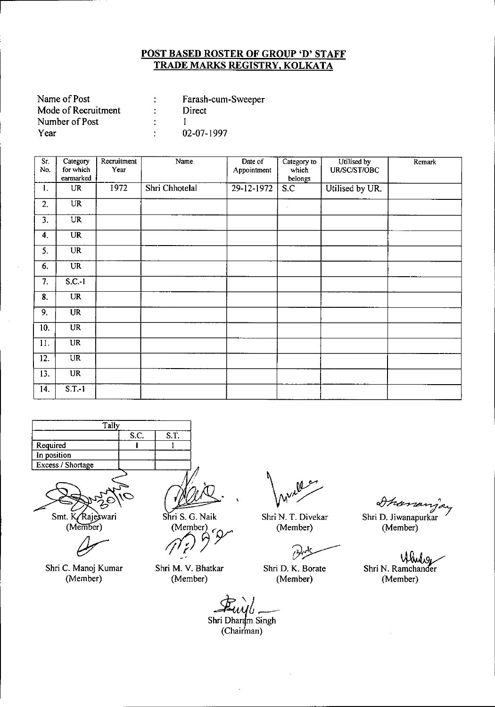| Name of Post        | Farash-cum-Sweeper |
|---------------------|--------------------|
| Mode of Recruitment | Direct             |
| Number of Post      |                    |
| Year                | 02-07-1997         |

| Sr.<br>No. | Category<br>for which  | Recruitment<br>Year | Name           | Date of<br>Appointment | Category to<br>which | Utilised by<br>UR/SC/ST/OBC | Remark |
|------------|------------------------|---------------------|----------------|------------------------|----------------------|-----------------------------|--------|
|            | earmarked              |                     |                |                        | belongs              |                             |        |
| 1.         | UR                     | 1972                | Shri Chhotelal | 29-12-1972             | S.C                  | Utilised by UR.             |        |
| 2.         | <b>UR</b>              |                     |                |                        | $\epsilon$           |                             |        |
| 3.         | UR                     |                     |                |                        |                      |                             |        |
| 4.         | $\overline{\text{UR}}$ |                     |                |                        |                      |                             |        |
| 5.         | <b>UR</b>              |                     |                |                        |                      |                             |        |
| 6.         | UR                     |                     |                |                        |                      |                             |        |
| 7.         | $S.C.-1$               |                     |                |                        |                      |                             |        |
| 8.         | UR                     |                     |                |                        |                      |                             |        |
| 9.         | <b>UR</b>              |                     |                |                        |                      |                             |        |
| 10.        | <b>UR</b>              |                     |                |                        |                      |                             |        |
| 11.        | <b>UR</b>              |                     |                |                        |                      |                             |        |
| 12.        | UR                     |                     |                |                        |                      |                             |        |
| 13.        | <b>UR</b>              |                     |                |                        |                      |                             |        |
| 14.        | $S.T.-1$               |                     |                |                        |                      |                             |        |



Smt. K/Rajeswari

(Member)

Shri C. Manoj Kumar (Member)

Shri S. G. Naik *(Member)* 

Shri M. V. Bhatkar (Member)

Shri N. T. Divekar (Member)

 $\mathcal{O}$ 

Shri D. K. Borate (Member)

*t/}k~~*

Shri D. Jiwanapurkar (Member)

Shri N. Ramchander (Member)

*z't~* Shri Dha+ Singh

(Chairman)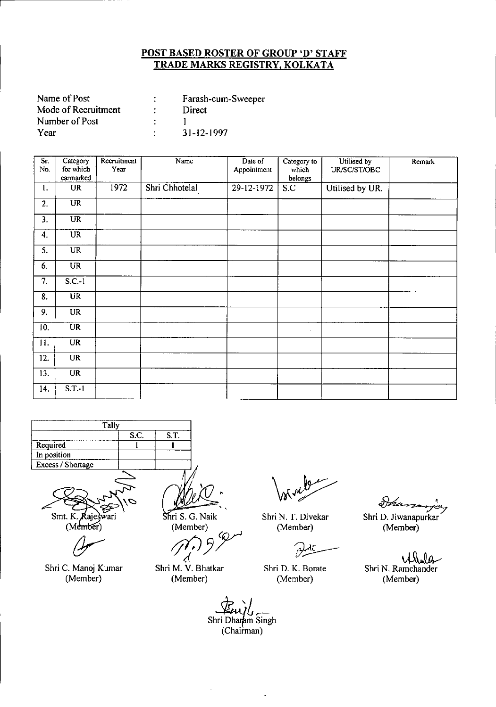| Name of Post        | Farash-cum-Sweeper |
|---------------------|--------------------|
| Mode of Recruitment | Direct             |
| Number of Post      |                    |
| Year                | 31-12-1997         |

| Sr.<br>No.        | Category<br>for which  | Recruitment<br>Year | Name           | Date of<br>Appointment | Category to<br>which | Utilised by<br>UR/SC/ST/OBC | Remark |
|-------------------|------------------------|---------------------|----------------|------------------------|----------------------|-----------------------------|--------|
|                   | earmarked              |                     |                |                        | belongs              |                             |        |
| 1.                | UR                     | 1972                | Shri Chhotelal | 29-12-1972             | S.C                  | Utilised by UR.             |        |
| 2.                | <b>UR</b>              |                     |                |                        |                      |                             |        |
| 3.                | $\overline{\text{UR}}$ |                     |                |                        |                      |                             |        |
| 4.                | $\overline{UR}$        |                     |                |                        |                      |                             |        |
| 5.                | <b>UR</b>              |                     |                |                        |                      |                             |        |
| 6.                | <b>UR</b>              |                     |                |                        |                      |                             |        |
| 7.                | $S.C.-1$               |                     |                |                        |                      |                             |        |
| 8.                | $\overline{UR}$        |                     |                |                        |                      |                             |        |
| 9.                | UR                     |                     |                |                        |                      |                             |        |
| $\overline{10}$ . | <b>UR</b>              |                     |                |                        | $\cdot$              |                             |        |
| 11.               | <b>UR</b>              |                     |                |                        |                      |                             |        |
| 12.               | <b>UR</b>              |                     |                |                        |                      |                             |        |
| 13.               | <b>UR</b>              |                     |                |                        |                      |                             |        |
| 14.               | $S.T.-1$               |                     |                |                        |                      |                             |        |



Smt. K Rajeswari  $(M<sub>ember</sub>)$ 

Shri C. Manoj Kumar (Member)

,. Shri S. G. Naik

(Member)

*;jfJ:JY (f*

Shri M. V. Bhatkar (Member)

Shri N. T. Divekar (Member)

Shri D. K. Borate (Member)

Ihan  $\overline{r}$   $\overline{r}$   $\overline{r}$ 

Sh ri D. Jiwanapurka (Member)

 $\vee$ Shri N. Ramchander (Member)

 $\mathcal{F}_{\text{unil}}$ Shri Dhamm Singh (Chairman)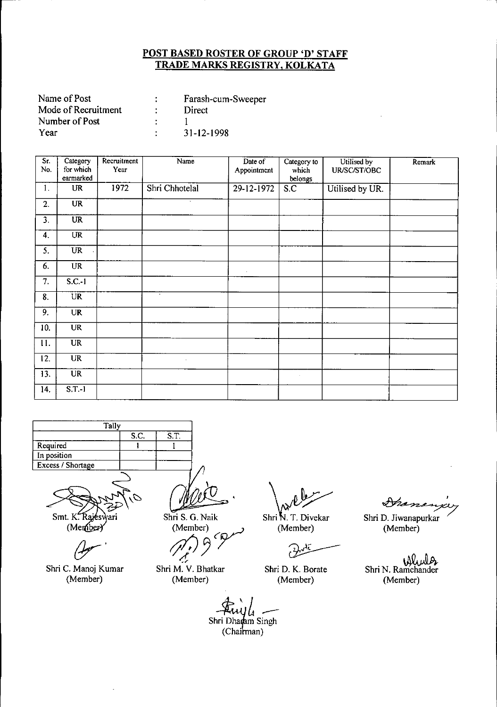| Name of Post        | Farash-cum-Sweeper |
|---------------------|--------------------|
| Mode of Recruitment | Direct             |
| Number of Post      |                    |
| Year                | 31-12-1998         |

| Sr.<br>No. | Category<br>for which<br>earmarked | Recruitment<br>Year | Name           | Date of<br>Appointment | Category to<br>which<br>belongs | Utilised by<br>UR/SC/ST/OBC | Remark |
|------------|------------------------------------|---------------------|----------------|------------------------|---------------------------------|-----------------------------|--------|
| 1.         | UR                                 | 1972                | Shri Chhotelal | 29-12-1972             | S.C                             | Utilised by UR.             |        |
| 2.         | <b>UR</b>                          |                     | ٠              |                        |                                 |                             |        |
| 3.         | $\overline{\text{UR}}$             |                     |                |                        |                                 |                             |        |
| 4.         | $\overline{\text{UR}}$             |                     |                |                        |                                 |                             |        |
| 5.         | <b>UR</b>                          |                     |                |                        |                                 |                             |        |
| 6.         | <b>UR</b>                          |                     |                | $\epsilon$             |                                 |                             |        |
| 7.         | $S.C.-1$                           |                     |                |                        |                                 |                             |        |
| 8.         | <b>UR</b>                          |                     | $\sim$         |                        |                                 |                             |        |
| 9.         | <b>UR</b>                          |                     |                |                        |                                 |                             |        |
| 10.        | $\overline{\text{UR}}$             |                     |                |                        |                                 |                             |        |
| 11.        | <b>UR</b>                          |                     |                |                        |                                 |                             |        |
| 12.        | <b>UR</b>                          |                     | $\cdot$        |                        |                                 |                             |        |
| 13.        | $\overline{\text{UR}}$             |                     |                |                        | $\sim$                          |                             |        |
| 14.        | $S.T.-1$                           |                     |                |                        |                                 |                             |        |



 $Smt. K. R$ 'агі

(Member)

Shri C. Manoj Kumar (Member)

Shri S. G. Naik (Member)

-1

Shri M. V. Bhatkar (Member)

Shri N. T. Divekar (Member)

Shri D. K. Borate (Member)

Granen

Shri D. Jiwanapurkar (Member)

Shri N. Ramchander (Member)

<del>74</del><br>10<br>(Ch **Fuyle**<br>Shri Dharam Singh  $(Chainman)$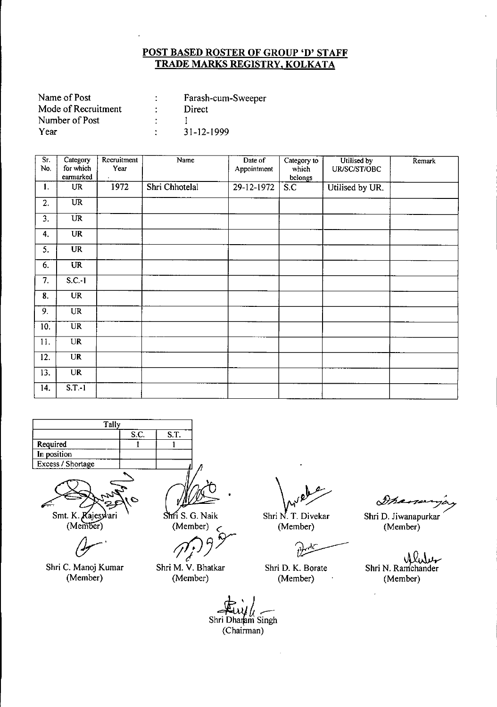| Name of Post        | Farash-cum-Sweeper |
|---------------------|--------------------|
| Mode of Recruitment | Direct             |
| Number of Post      |                    |
| Year                | $31 - 12 - 1999$   |

| Sr.<br>No.       | Category<br>for which  | Recruitment<br>Year | Name           | Date of<br>Appointment | Category to<br>which | Utilised by<br>UR/SC/ST/OBC | Remark |
|------------------|------------------------|---------------------|----------------|------------------------|----------------------|-----------------------------|--------|
|                  | earmarked              |                     |                |                        | belongs              |                             |        |
| $\mathbf{1}$ .   | UR                     | 1972                | Shri Chhotelal | 29-12-1972             | S.C                  | Utilised by UR.             |        |
| 2.               | $\overline{\text{UR}}$ |                     |                |                        |                      |                             |        |
| $\overline{3}$ . | $\overline{UR}$        |                     |                |                        |                      |                             |        |
| 4.               | <b>UR</b>              |                     |                |                        |                      |                             |        |
| 5.               | <b>UR</b>              |                     |                |                        |                      |                             |        |
| 6.               | <b>UR</b>              |                     |                |                        |                      |                             |        |
| 7.               | $S.C.-1$               |                     |                |                        |                      |                             |        |
| 8.               | <b>UR</b>              |                     |                |                        |                      |                             |        |
| 9.               | UR                     |                     |                |                        |                      |                             |        |
| 10.              | <b>UR</b>              |                     |                |                        |                      |                             |        |
| 11.              | UR                     |                     |                |                        |                      |                             |        |
| 12.              | <b>UR</b>              |                     |                |                        |                      |                             |        |
| 13.              | <b>UR</b>              |                     |                |                        |                      |                             |        |
| 14.              | $S.T.-1$               |                     |                |                        |                      |                             |        |



Smt. K. Kajesyvari

 $(Member)$ 

Shri C. Manoj Kumar (Member)

(Member)

**fi** S. G. Naik<br>(Member)<br>*1*<sup>*r*</sup>*f* 9 <sup>9</sup>

Shri M. V. Bhatkar (Member)

Shri N. T. Divekar (Member)

Shri D. K. Borate (Member)

Francy

Shri D. Jiwanapurkar (Member)

Shri N. Ramchander (Member)

Shri Dhamam Singh (Chairman)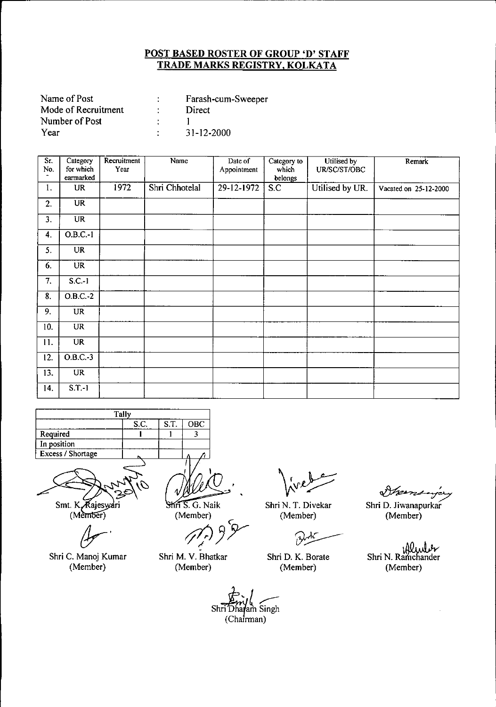| Farash-cum-Sweeper |
|--------------------|
| Direct             |
|                    |
| $31 - 12 - 2000$   |
|                    |

| Sr.<br>No.                | Category<br>for which  | Recruitment<br>Year | Name           | Date of<br>Appointment | Category to<br>which | Utilised by<br>UR/SC/ST/OBC | Remark                |
|---------------------------|------------------------|---------------------|----------------|------------------------|----------------------|-----------------------------|-----------------------|
| $\mathbf{a}$              | earmarked              |                     |                |                        | belongs              |                             |                       |
| 1.                        | UR                     | 1972                | Shri Chhotelal | 29-12-1972             | S.C                  | Utilised by UR.             | Vacated on 25-12-2000 |
| 2.                        | $\overline{\text{UR}}$ |                     |                |                        |                      |                             |                       |
| 3.                        | <b>UR</b>              |                     |                |                        |                      |                             |                       |
| 4.                        | $O.B.C.-1$             |                     |                |                        |                      |                             |                       |
| 5.                        | <b>UR</b>              |                     |                |                        |                      |                             |                       |
| 6.                        | <b>UR</b>              |                     |                |                        |                      |                             |                       |
| 7.                        | $S.C.-1$               |                     |                |                        |                      |                             |                       |
| $\overline{\mathbf{8}}$ . | $O.B.C.-2$             |                     |                |                        |                      |                             |                       |
| 9.                        | UR                     |                     |                |                        |                      |                             |                       |
| 10.                       | <b>UR</b>              |                     |                |                        |                      |                             |                       |
| 11.                       | <b>UR</b>              |                     |                |                        |                      |                             |                       |
| 12.                       | $O.B.C.-3$             |                     |                |                        |                      |                             |                       |
| 13.                       | <b>UR</b>              |                     |                |                        |                      |                             |                       |
| 14.                       | $S.T.-1$               |                     |                |                        |                      |                             |                       |

|                   | Tally |      |     |
|-------------------|-------|------|-----|
|                   | S.C.  | S.T. | OBC |
| Required          |       |      |     |
| In position       |       |      |     |
| Excess / Shortage |       |      |     |
|                   |       |      |     |

Smt. K. Rajeswari<br>(Member)

 $4$ 

Shri C. Manoj Kumar (Member)

Shri S. G. Naik

(Member)

C *t/lPJY*

Shri M. V. Bhatkar (Member)

*~* tri *(پنجل*<br>Shri Dhagam Singh (Chairman)

Shri N. T. Divekar (Member)

 $\gamma$ 

Shri D. K. Boraie (Member)

~'

Shri D. Jiwanapurkar (Member)

Shri N. Ramchander (Member)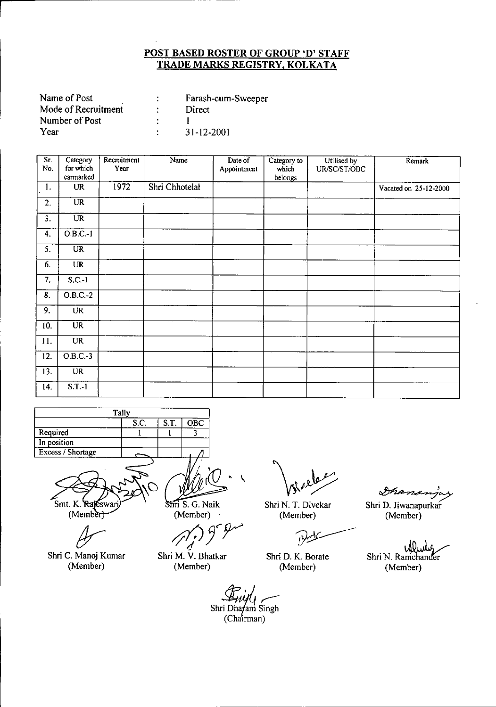| Name of Post        | Farash-cum-Sweeper |
|---------------------|--------------------|
| Mode of Recruitment | Direct             |
| Number of Post      |                    |
| Year                | $31 - 12 - 2001$   |

| Sr.<br>No.        | Category<br>for which  | Recruitment<br>Year | Name           | Date of<br>Appointment | Category to<br>which | Utilised by<br>UR/SC/ST/OBC | Remark                |
|-------------------|------------------------|---------------------|----------------|------------------------|----------------------|-----------------------------|-----------------------|
|                   | earmarked              |                     |                |                        | belongs              |                             |                       |
| 1.                | <b>UR</b>              | 1972                | Shri Chhotelal |                        |                      |                             | Vacated on 25-12-2000 |
| 2.                | <b>UR</b>              |                     |                |                        |                      |                             |                       |
| $\overline{3}$ .  | $\overline{\text{UR}}$ |                     |                |                        |                      |                             |                       |
| 4.                | $0.B.C.-1$             |                     |                |                        |                      |                             |                       |
| 5.                | $\overline{\text{UR}}$ |                     |                |                        |                      |                             |                       |
| 6.                | <b>UR</b>              |                     |                |                        |                      |                             |                       |
| $\overline{7}$ .  | $S.C.-1$               |                     |                |                        |                      |                             |                       |
| $\overline{8}$ .  | $O.B.C.-2$             |                     |                |                        |                      |                             |                       |
| 9.                | <b>UR</b>              |                     |                |                        |                      |                             |                       |
| 10.               | $\overline{\text{UR}}$ |                     |                |                        |                      |                             |                       |
| 11.               | <b>UR</b>              |                     |                |                        |                      |                             |                       |
| $\overline{12}$ . | $O.B.C.-3$             |                     |                |                        |                      |                             |                       |
| 13.               | <b>UR</b>              |                     |                |                        |                      |                             |                       |
| 14.               | $S.T.-1$               |                     |                |                        |                      |                             |                       |

|                   | Tally |      |     |
|-------------------|-------|------|-----|
|                   | S.C.  | S.T. | OBC |
| Required          |       |      |     |
| In position       |       |      |     |
| Excess / Shortage |       |      |     |

Smt. K. Rajeswar  $(Member)$ 

Shri C. Manoj Kumar (Member)

Shri S. G. Naik (Member)

(Member)<br> $(2)$ <sup>9</sup>

Shri M. V. Bhatkar (Member)

Shri N. T. Divekar (Member)

فينكرا

Shri D. K. Borate (Member)

*ob7~'7*

Shri D. Jiwanapurkar (Member)

Meube Shri N. Ramchander (Member)

Shri Dhafam Singh

 $(Cha'irman)$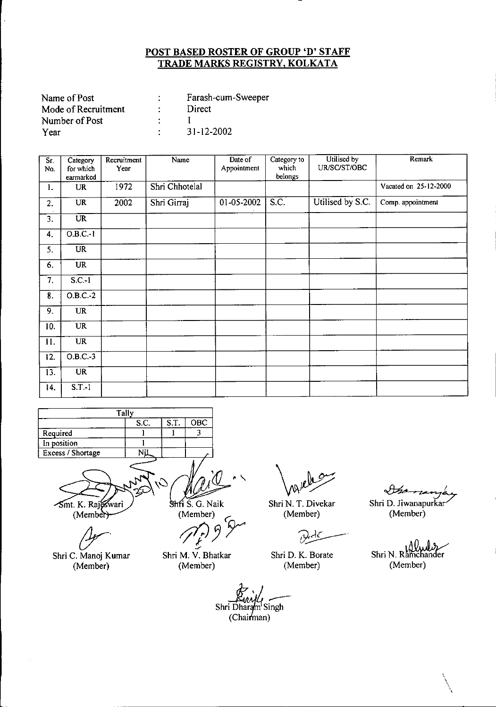| Name of Post        | Farash-cum-Sweeper |
|---------------------|--------------------|
| Mode of Recruitment | Direct             |
| Number of Post      |                    |
| Year                | $31 - 12 - 2002$   |

| $\overline{\mathsf{S}}$ r.<br>No. | Category<br>for which<br>earmarked | Recruitment<br>Year | Name           | Date of<br>Appointment | Category to<br>which<br>belongs | Utilised by<br>UR/SC/ST/OBC | Remark                |
|-----------------------------------|------------------------------------|---------------------|----------------|------------------------|---------------------------------|-----------------------------|-----------------------|
| 1.                                | <b>UR</b>                          | 1972                | Shri Chhotelal |                        |                                 |                             | Vacated on 25-12-2000 |
| 2.                                | <b>UR</b>                          | 2002                | Shri Girraj    | 01-05-2002             | S.C.                            | Utilised by S.C.            | Comp. appointment     |
| 3.                                | $\overline{\text{UR}}$             |                     |                |                        |                                 |                             |                       |
| 4.                                | 0.B.C.1                            |                     |                |                        |                                 |                             |                       |
| 5.                                | <b>UR</b>                          |                     |                |                        |                                 |                             |                       |
| 6.                                | <b>UR</b>                          |                     |                |                        |                                 |                             |                       |
| 7.                                | $S.C.-1$                           |                     |                |                        |                                 |                             |                       |
| 8.                                | O.B.C.2                            |                     |                |                        |                                 |                             |                       |
| 9.                                | <b>UR</b>                          |                     |                |                        |                                 |                             |                       |
| 10.                               | <b>UR</b>                          |                     |                |                        |                                 |                             |                       |
| 11.                               | <b>UR</b>                          |                     |                |                        |                                 |                             |                       |
| 12.                               | $0.B.C.-3$                         |                     |                |                        |                                 |                             |                       |
| 13.                               | $\overline{\text{UR}}$             |                     |                |                        |                                 |                             |                       |
| 14.                               | $S.T-1$                            |                     |                |                        |                                 |                             |                       |

|                   | Tally |      |     |
|-------------------|-------|------|-----|
|                   | S.C.  | S.T. | OBC |
| Required          |       |      |     |
| In position       |       |      |     |
| Excess / Shortage |       |      |     |

*<u>smt. K. Rajeswari</u>* 

Shri C. Manoj Kumar (Member)

Shri S. G. Naik

 $(Member)$ 

Shri M. V. Bhatkar (Member)

Shri N. T. Divekar (Member)

 $\mathcal{L}$ 

Shri D. K. Borate (Member)

 $\partial\!mathcal{H}$ 

Shri D. Jiwanapurkar/ (Member)

Shri N. Ramc iander (Member)

 $\overline{\phantom{0}}$ "',

Shri Dharam<sup>1</sup> Singh<br>(Chairman)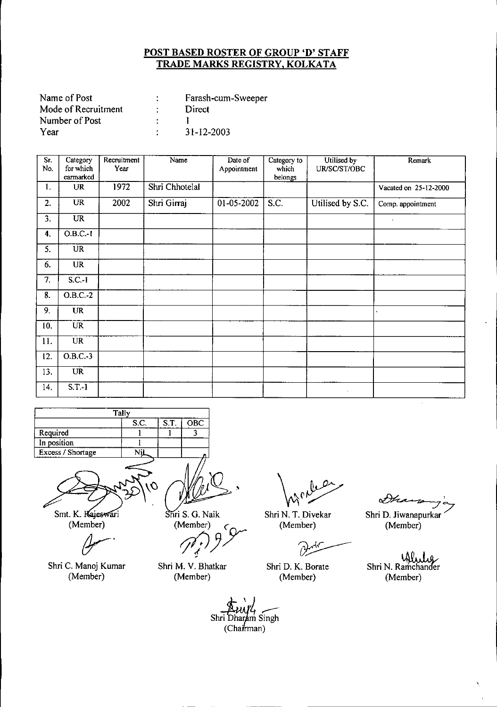| Name of Post        | Farash-cum-Sweeper |
|---------------------|--------------------|
| Mode of Recruitment | Direct             |
| Number of Post      |                    |
| Year                | $31 - 12 - 2003$   |

| Sr.<br>No. | Category<br>for which | Recruitment<br>Year | Name           | Date of     | Category to<br>which | Utilised by<br>UR/SC/ST/OBC | Remark                |
|------------|-----------------------|---------------------|----------------|-------------|----------------------|-----------------------------|-----------------------|
|            | earmarked             |                     |                | Appointment | belongs              |                             |                       |
| 1.         | <b>UR</b>             | 1972                | Shri Chhotelal |             |                      |                             | Vacated on 25-12-2000 |
| 2.         | <b>UR</b>             | 2002                | Shri Girraj    | 01-05-2002  | S.C.                 | Utilised by S.C.            | Comp. appointment     |
| 3.         | <b>UR</b>             |                     |                |             |                      |                             | $\bullet$             |
| 4.         | $O.B.C.-1$            |                     |                |             |                      |                             |                       |
| 5.         | <b>UR</b>             |                     |                |             |                      |                             |                       |
| 6.         | <b>UR</b>             |                     |                |             |                      |                             |                       |
| 7.         | $S.C.-1$              |                     |                |             |                      |                             |                       |
| 8.         | $O.B.C.-2$            |                     |                |             |                      |                             |                       |
| 9.         | <b>UR</b>             |                     |                |             |                      |                             |                       |
| 10.        | <b>UR</b>             |                     |                |             |                      |                             |                       |
| 11.        | <b>UR</b>             |                     |                |             |                      |                             |                       |
| 12.        | $O.B.C.-3$            |                     |                |             |                      |                             |                       |
| 13.        | <b>UR</b>             |                     |                |             |                      |                             |                       |
| 14.        | $S.T.-I$              |                     |                |             |                      | $\mathbf{r}$                |                       |

|                   | Tally |      |     |
|-------------------|-------|------|-----|
|                   | S.C.  | S.T. | OBC |
| Required          |       |      |     |
| In position       |       |      |     |
| Excess / Shortage |       |      |     |
|                   |       |      |     |



Smt. K. Kajeswari (Member)

Shri C. Manoj Kumar (Member)

Shri S. G. Naik

(Member)<br>*(1, )* 9 <sup>Syr</sup>

Shri M. V. Bhatkar (Member)

Shri N. T. Divekar (Member)

Shri D. K. Borate (Member)

**∝** Shri D. Jiwanapurkar

(Member)

Shri N. Ramchander (Member)

Shri Dharam Singh  $(Chairman)$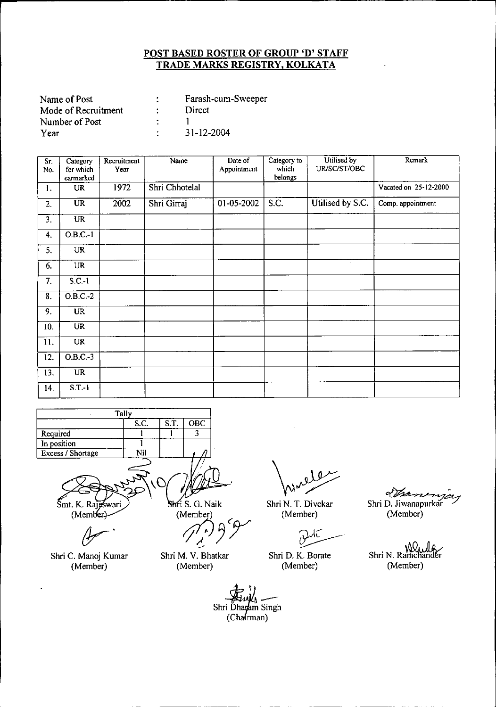| Name of Post        |        | Farash-cum-Sweeper |
|---------------------|--------|--------------------|
| Mode of Recruitment |        | Direct             |
| Number of Post      | $\sim$ |                    |
| Year                |        | 31-12-2004         |

| Sr.<br>No. | Category<br>for which | Recruitment<br>Year | Name           | Date of<br>Appointment | Category to<br>which | Utilised by<br>UR/SC/ST/OBC | Remark                |
|------------|-----------------------|---------------------|----------------|------------------------|----------------------|-----------------------------|-----------------------|
|            | earmarked             |                     |                |                        | belongs              |                             |                       |
| 1.         | <b>UR</b>             | 1972                | Shri Chhotelal |                        |                      |                             | Vacated on 25-12-2000 |
| 2.         | <b>UR</b>             | 2002                | Shri Girraj    | 01-05-2002             | $\overline{S.C.}$    | Utilised by S.C.            | Comp. appointment     |
| 3.         | <b>UR</b>             |                     |                |                        |                      |                             |                       |
| 4.         | $O.B.C.-1$            |                     |                |                        |                      |                             |                       |
| 5.         | UR                    |                     |                |                        |                      |                             |                       |
| 6.         | <b>UR</b>             |                     |                |                        |                      |                             |                       |
| 7.         | $S.C.-1$              |                     |                |                        |                      |                             |                       |
| 8.         | $O.B.C.-2$            |                     |                |                        |                      |                             |                       |
| 9.         | <b>UR</b>             |                     |                |                        |                      |                             |                       |
| 10.        | <b>UR</b>             |                     |                |                        |                      |                             |                       |
| 11.        | <b>UR</b>             |                     |                |                        |                      |                             |                       |
| 12.        | $O.B.C.-3$            |                     |                |                        |                      |                             |                       |
| 13.        | <b>UR</b>             |                     |                |                        |                      |                             |                       |
| 14.        | $S.T.-I$              |                     |                |                        |                      |                             |                       |

|                   | Tally |      |     |
|-------------------|-------|------|-----|
|                   | S.C.  | S.T. | OBC |
| Required          |       |      |     |
| In position       |       |      |     |
| Excess / Shortage | Nil   |      |     |
|                   |       |      |     |

Smt. K. Rajoswari (Member)

Shri C. Manoj Kumar (Member)

Shri S. G. Naik

 $\left(\begin{matrix} \mathsf{Member} \ \mathsf{A} \end{matrix}\right) \begin{matrix} \mathsf{A} \ \mathsf{B} \end{matrix}$ 

 $\frac{1}{2}$ Shri M. V. Bhatkar (Member)

Shri N. T. Divekar

(Member)

~.

Shri D. K. Borate (Member)

PJI. Shri D. Jiwanapurkar

(Member)

Shri N. Ramchander (Member)

Shri Dharam Singh<br>(Chairman)